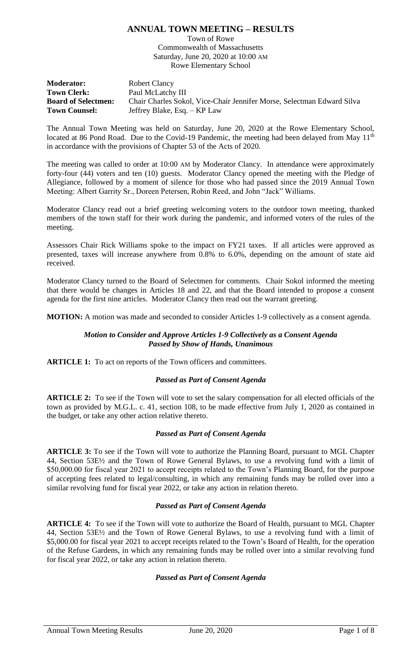# **ANNUAL TOWN MEETING – RESULTS**

Town of Rowe Commonwealth of Massachusetts Saturday, June 20, 2020 at 10:00 AM Rowe Elementary School

**Moderator:** Robert Clancy **Town Clerk:** Paul McLatchy III **Board of Selectmen:** Chair Charles Sokol, Vice-Chair Jennifer Morse, Selectman Edward Silva **Town Counsel:** Jeffrey Blake, Esq. – KP Law

The Annual Town Meeting was held on Saturday, June 20, 2020 at the Rowe Elementary School, located at 86 Pond Road. Due to the Covid-19 Pandemic, the meeting had been delayed from May 11<sup>th</sup> in accordance with the provisions of Chapter 53 of the Acts of 2020.

The meeting was called to order at 10:00 AM by Moderator Clancy. In attendance were approximately forty-four (44) voters and ten (10) guests. Moderator Clancy opened the meeting with the Pledge of Allegiance, followed by a moment of silence for those who had passed since the 2019 Annual Town Meeting: Albert Garrity Sr., Doreen Petersen, Robin Reed, and John "Jack" Williams.

Moderator Clancy read out a brief greeting welcoming voters to the outdoor town meeting, thanked members of the town staff for their work during the pandemic, and informed voters of the rules of the meeting.

Assessors Chair Rick Williams spoke to the impact on FY21 taxes. If all articles were approved as presented, taxes will increase anywhere from 0.8% to 6.0%, depending on the amount of state aid received.

Moderator Clancy turned to the Board of Selectmen for comments. Chair Sokol informed the meeting that there would be changes in Articles 18 and 22, and that the Board intended to propose a consent agenda for the first nine articles. Moderator Clancy then read out the warrant greeting.

**MOTION:** A motion was made and seconded to consider Articles 1-9 collectively as a consent agenda.

## *Motion to Consider and Approve Articles 1-9 Collectively as a Consent Agenda Passed by Show of Hands, Unanimous*

**ARTICLE 1:** To act on reports of the Town officers and committees.

# *Passed as Part of Consent Agenda*

**ARTICLE 2:** To see if the Town will vote to set the salary compensation for all elected officials of the town as provided by M.G.L. c. 41, section 108, to be made effective from July 1, 2020 as contained in the budget, or take any other action relative thereto.

# *Passed as Part of Consent Agenda*

**ARTICLE 3:** To see if the Town will vote to authorize the Planning Board, pursuant to MGL Chapter 44, Section 53E½ and the Town of Rowe General Bylaws, to use a revolving fund with a limit of \$50,000.00 for fiscal year 2021 to accept receipts related to the Town's Planning Board, for the purpose of accepting fees related to legal/consulting, in which any remaining funds may be rolled over into a similar revolving fund for fiscal year 2022, or take any action in relation thereto.

## *Passed as Part of Consent Agenda*

**ARTICLE 4:** To see if the Town will vote to authorize the Board of Health, pursuant to MGL Chapter 44, Section 53E½ and the Town of Rowe General Bylaws, to use a revolving fund with a limit of \$5,000.00 for fiscal year 2021 to accept receipts related to the Town's Board of Health, for the operation of the Refuse Gardens, in which any remaining funds may be rolled over into a similar revolving fund for fiscal year 2022, or take any action in relation thereto.

# *Passed as Part of Consent Agenda*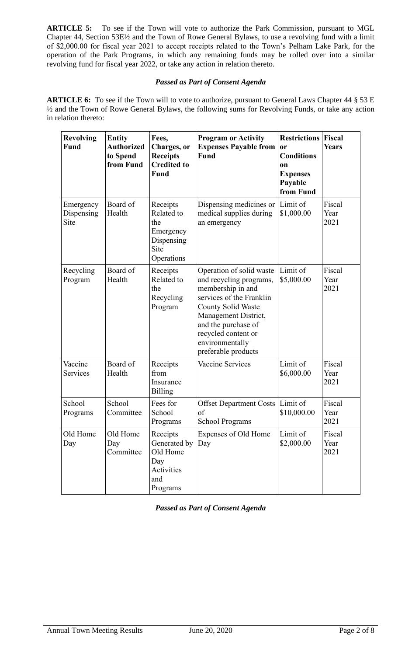**ARTICLE 5:** To see if the Town will vote to authorize the Park Commission, pursuant to MGL Chapter 44, Section 53E½ and the Town of Rowe General Bylaws, to use a revolving fund with a limit of \$2,000.00 for fiscal year 2021 to accept receipts related to the Town's Pelham Lake Park, for the operation of the Park Programs, in which any remaining funds may be rolled over into a similar revolving fund for fiscal year 2022, or take any action in relation thereto.

# *Passed as Part of Consent Agenda*

**ARTICLE 6:** To see if the Town will to vote to authorize, pursuant to General Laws Chapter 44 § 53 E ½ and the Town of Rowe General Bylaws, the following sums for Revolving Funds, or take any action in relation thereto:

| <b>Revolving</b><br>Fund        | <b>Entity</b><br><b>Authorized</b><br>to Spend<br>from Fund | Fees,<br>Charges, or<br><b>Receipts</b><br><b>Credited to</b><br>Fund          | <b>Program or Activity</b><br><b>Expenses Payable from</b><br>Fund                                                                                                                                                                                | <b>Restrictions</b><br>or<br><b>Conditions</b><br>0n<br><b>Expenses</b><br>Payable<br>from Fund | <b>Fiscal</b><br><b>Years</b> |
|---------------------------------|-------------------------------------------------------------|--------------------------------------------------------------------------------|---------------------------------------------------------------------------------------------------------------------------------------------------------------------------------------------------------------------------------------------------|-------------------------------------------------------------------------------------------------|-------------------------------|
| Emergency<br>Dispensing<br>Site | Board of<br>Health                                          | Receipts<br>Related to<br>the<br>Emergency<br>Dispensing<br>Site<br>Operations | Dispensing medicines or<br>medical supplies during<br>an emergency                                                                                                                                                                                | Limit of<br>\$1,000.00                                                                          | Fiscal<br>Year<br>2021        |
| Recycling<br>Program            | Board of<br>Health                                          | Receipts<br>Related to<br>the<br>Recycling<br>Program                          | Operation of solid waste<br>and recycling programs,<br>membership in and<br>services of the Franklin<br><b>County Solid Waste</b><br>Management District,<br>and the purchase of<br>recycled content or<br>environmentally<br>preferable products | Limit of<br>\$5,000.00                                                                          | Fiscal<br>Year<br>2021        |
| Vaccine<br>Services             | Board of<br>Health                                          | Receipts<br>from<br>Insurance<br><b>Billing</b>                                | Vaccine Services                                                                                                                                                                                                                                  | Limit of<br>\$6,000.00                                                                          | Fiscal<br>Year<br>2021        |
| School<br>Programs              | School<br>Committee                                         | Fees for<br>School<br>Programs                                                 | <b>Offset Department Costs</b><br>of<br><b>School Programs</b>                                                                                                                                                                                    | Limit of<br>\$10,000.00                                                                         | Fiscal<br>Year<br>2021        |
| Old Home<br>Day                 | Old Home<br>Day<br>Committee                                | Receipts<br>Generated by<br>Old Home<br>Day<br>Activities<br>and<br>Programs   | Expenses of Old Home<br>Day                                                                                                                                                                                                                       | Limit of<br>\$2,000.00                                                                          | Fiscal<br>Year<br>2021        |

*Passed as Part of Consent Agenda*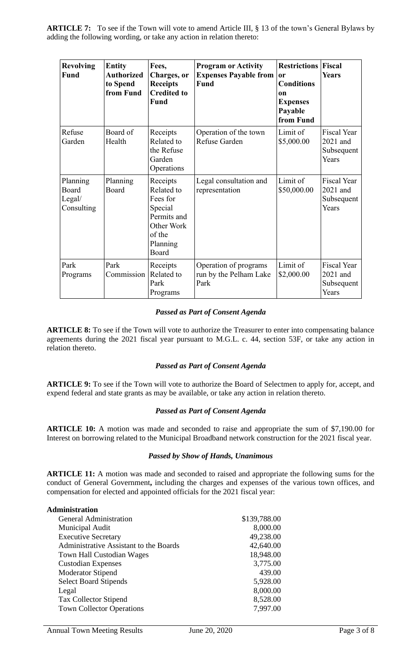**ARTICLE 7:** To see if the Town will vote to amend Article III, § 13 of the town's General Bylaws by adding the following wording, or take any action in relation thereto:

| <b>Revolving</b><br><b>Fund</b>           | <b>Entity</b><br><b>Authorized</b><br>to Spend<br>from Fund | Fees,<br>Charges, or<br><b>Receipts</b><br><b>Credited to</b><br><b>Fund</b>                              | <b>Program or Activity</b><br><b>Expenses Payable from</b><br><b>Fund</b> | <b>Restrictions</b><br>or<br><b>Conditions</b><br><sub>on</sub><br><b>Expenses</b><br>Payable<br>from Fund | Fiscal<br><b>Years</b>                                |
|-------------------------------------------|-------------------------------------------------------------|-----------------------------------------------------------------------------------------------------------|---------------------------------------------------------------------------|------------------------------------------------------------------------------------------------------------|-------------------------------------------------------|
| Refuse<br>Garden                          | Board of<br>Health                                          | Receipts<br>Related to<br>the Refuse<br>Garden<br>Operations                                              | Operation of the town<br>Refuse Garden                                    | Limit of<br>\$5,000.00                                                                                     | <b>Fiscal Year</b><br>2021 and<br>Subsequent<br>Years |
| Planning<br>Board<br>Legal/<br>Consulting | Planning<br>Board                                           | Receipts<br>Related to<br>Fees for<br>Special<br>Permits and<br>Other Work<br>of the<br>Planning<br>Board | Legal consultation and<br>representation                                  | Limit of<br>\$50,000.00                                                                                    | <b>Fiscal Year</b><br>2021 and<br>Subsequent<br>Years |
| Park<br>Programs                          | Park<br>Commission                                          | Receipts<br>Related to<br>Park<br>Programs                                                                | Operation of programs<br>run by the Pelham Lake<br>Park                   | Limit of<br>\$2,000.00                                                                                     | <b>Fiscal Year</b><br>2021 and<br>Subsequent<br>Years |

# *Passed as Part of Consent Agenda*

**ARTICLE 8:** To see if the Town will vote to authorize the Treasurer to enter into compensating balance agreements during the 2021 fiscal year pursuant to M.G.L. c. 44, section 53F, or take any action in relation thereto.

# *Passed as Part of Consent Agenda*

**ARTICLE 9:** To see if the Town will vote to authorize the Board of Selectmen to apply for, accept, and expend federal and state grants as may be available, or take any action in relation thereto.

## *Passed as Part of Consent Agenda*

**ARTICLE 10:** A motion was made and seconded to raise and appropriate the sum of \$7,190.00 for Interest on borrowing related to the Municipal Broadband network construction for the 2021 fiscal year.

## *Passed by Show of Hands, Unanimous*

**ARTICLE 11:** A motion was made and seconded to raised and appropriate the following sums for the conduct of General Government**,** including the charges and expenses of the various town offices, and compensation for elected and appointed officials for the 2021 fiscal year:

| Administration                         |              |
|----------------------------------------|--------------|
| <b>General Administration</b>          | \$139,788.00 |
| Municipal Audit                        | 8,000.00     |
| <b>Executive Secretary</b>             | 49,238.00    |
| Administrative Assistant to the Boards | 42,640.00    |
| <b>Town Hall Custodian Wages</b>       | 18,948.00    |
| <b>Custodian Expenses</b>              | 3,775.00     |
| <b>Moderator Stipend</b>               | 439.00       |
| <b>Select Board Stipends</b>           | 5,928.00     |
| Legal                                  | 8,000.00     |
| <b>Tax Collector Stipend</b>           | 8,528.00     |
| <b>Town Collector Operations</b>       | 7,997.00     |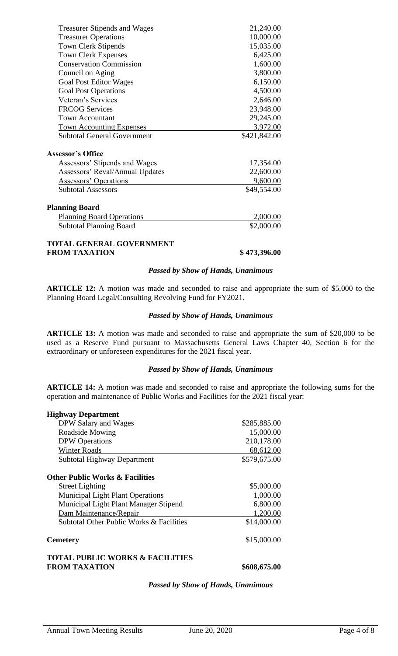| <b>Treasurer Stipends and Wages</b> | 21,240.00    |
|-------------------------------------|--------------|
| <b>Treasurer Operations</b>         | 10,000.00    |
| <b>Town Clerk Stipends</b>          | 15,035.00    |
| <b>Town Clerk Expenses</b>          | 6,425.00     |
| <b>Conservation Commission</b>      | 1,600.00     |
| Council on Aging                    | 3,800.00     |
| <b>Goal Post Editor Wages</b>       | 6,150.00     |
| <b>Goal Post Operations</b>         | 4,500.00     |
| Veteran's Services                  | 2,646.00     |
| <b>FRCOG Services</b>               | 23,948.00    |
| <b>Town Accountant</b>              | 29,245.00    |
| <b>Town Accounting Expenses</b>     | 3,972.00     |
| <b>Subtotal General Government</b>  | \$421,842.00 |
| <b>Assessor's Office</b>            |              |
| Assessors' Stipends and Wages       | 17,354.00    |
| Assessors' Reval/Annual Updates     | 22,600.00    |
| <b>Assessors' Operations</b>        | 9,600.00     |
| <b>Subtotal Assessors</b>           | \$49,554.00  |
| <b>Planning Board</b>               |              |
| <b>Planning Board Operations</b>    | 2,000.00     |
| <b>Subtotal Planning Board</b>      | \$2,000.00   |
| <b>TOTAL GENERAL GOVERNMENT</b>     |              |

**FROM TAXATION \$ 473,396.00**

### *Passed by Show of Hands, Unanimous*

**ARTICLE 12:** A motion was made and seconded to raise and appropriate the sum of \$5,000 to the Planning Board Legal/Consulting Revolving Fund for FY2021.

### *Passed by Show of Hands, Unanimous*

**ARTICLE 13:** A motion was made and seconded to raise and appropriate the sum of \$20,000 to be used as a Reserve Fund pursuant to Massachusetts General Laws Chapter 40, Section 6 for the extraordinary or unforeseen expenditures for the 2021 fiscal year.

### *Passed by Show of Hands, Unanimous*

**ARTICLE 14:** A motion was made and seconded to raise and appropriate the following sums for the operation and maintenance of Public Works and Facilities for the 2021 fiscal year:

| <b>Highway Department</b>                                          |              |
|--------------------------------------------------------------------|--------------|
| DPW Salary and Wages                                               | \$285,885.00 |
| Roadside Mowing                                                    | 15,000.00    |
| <b>DPW</b> Operations                                              | 210,178.00   |
| <b>Winter Roads</b>                                                | 68,612.00    |
| <b>Subtotal Highway Department</b>                                 | \$579,675.00 |
| <b>Other Public Works &amp; Facilities</b>                         |              |
| <b>Street Lighting</b>                                             | \$5,000.00   |
| <b>Municipal Light Plant Operations</b>                            | 1,000.00     |
| Municipal Light Plant Manager Stipend                              | 6,800.00     |
| Dam Maintenance/Repair                                             | 1,200.00     |
| Subtotal Other Public Works & Facilities                           | \$14,000.00  |
| <b>Cemetery</b>                                                    | \$15,000.00  |
| <b>TOTAL PUBLIC WORKS &amp; FACILITIES</b><br><b>FROM TAXATION</b> | \$608,675.00 |

### *Passed by Show of Hands, Unanimous*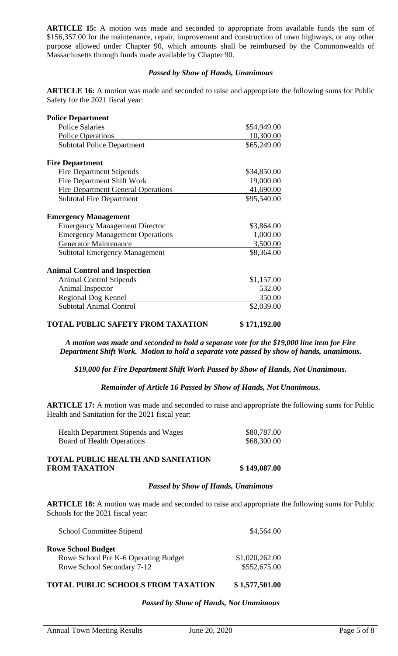**ARTICLE 15:** A motion was made and seconded to appropriate from available funds the sum of \$156,357.00 for the maintenance, repair, improvement and construction of town highways, or any other purpose allowed under Chapter 90, which amounts shall be reimbursed by the Commonwealth of Massachusetts through funds made available by Chapter 90.

# *Passed by Show of Hands, Unanimous*

**ARTICLE 16:** A motion was made and seconded to raise and appropriate the following sums for Public Safety for the 2021 fiscal year:

| <b>Police Department</b>                  |             |
|-------------------------------------------|-------------|
| <b>Police Salaries</b>                    | \$54,949.00 |
| <b>Police Operations</b>                  | 10,300.00   |
| <b>Subtotal Police Department</b>         | \$65,249.00 |
| <b>Fire Department</b>                    |             |
| <b>Fire Department Stipends</b>           | \$34,850.00 |
| Fire Department Shift Work                | 19,000.00   |
| <b>Fire Department General Operations</b> | 41,690.00   |
| <b>Subtotal Fire Department</b>           | \$95,540.00 |
| <b>Emergency Management</b>               |             |
| <b>Emergency Management Director</b>      | \$3,864.00  |
| <b>Emergency Management Operations</b>    | 1,000.00    |
| <b>Generator Maintenance</b>              | 3,500.00    |
| <b>Subtotal Emergency Management</b>      | \$8,364.00  |
| <b>Animal Control and Inspection</b>      |             |
| <b>Animal Control Stipends</b>            | \$1,157.00  |
| Animal Inspector                          | 532.00      |
| <b>Regional Dog Kennel</b>                | 350.00      |
| <b>Subtotal Animal Control</b>            | \$2,039.00  |

# **TOTAL PUBLIC SAFETY FROM TAXATION \$ 171,192.00**

*A motion was made and seconded to hold a separate vote for the \$19,000 line item for Fire Department Shift Work. Motion to hold a separate vote passed by show of hands, unanimous.*

*\$19,000 for Fire Department Shift Work Passed by Show of Hands, Not Unanimous.*

*Remainder of Article 16 Passed by Show of Hands, Not Unanimous.* 

**ARTICLE 17:** A motion was made and seconded to raise and appropriate the following sums for Public Health and Sanitation for the 2021 fiscal year:

| <b>Health Department Stipends and Wages</b> | \$80,787.00 |
|---------------------------------------------|-------------|
| Board of Health Operations                  | \$68,300.00 |

# **TOTAL PUBLIC HEALTH AND SANITATION FROM TAXATION \$ 149,087.00**

### *Passed by Show of Hands, Unanimous*

**ARTICLE 18:** A motion was made and seconded to raise and appropriate the following sums for Public Schools for the 2021 fiscal year:

| <b>School Committee Stipend</b>      | \$4,564.00     |
|--------------------------------------|----------------|
| <b>Rowe School Budget</b>            |                |
| Rowe School Pre K-6 Operating Budget | \$1,020,262.00 |
| Rowe School Secondary 7-12           | \$552,675.00   |

# **TOTAL PUBLIC SCHOOLS FROM TAXATION \$ 1,577,501.00**

## *Passed by Show of Hands, Not Unanimous*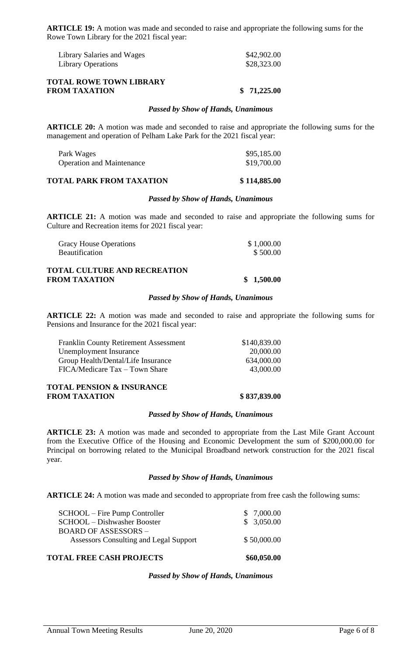**ARTICLE 19:** A motion was made and seconded to raise and appropriate the following sums for the Rowe Town Library for the 2021 fiscal year:

| Library Salaries and Wages | \$42,902.00 |
|----------------------------|-------------|
| <b>Library Operations</b>  | \$28,323.00 |

## **TOTAL ROWE TOWN LIBRARY FROM TAXATION \$ 71,225.00**

### *Passed by Show of Hands, Unanimous*

**ARTICLE 20:** A motion was made and seconded to raise and appropriate the following sums for the management and operation of Pelham Lake Park for the 2021 fiscal year:

| Park Wages                       | \$95,185.00 |
|----------------------------------|-------------|
| <b>Operation and Maintenance</b> | \$19,700.00 |

## **TOTAL PARK FROM TAXATION \$ 114,885.00**

### *Passed by Show of Hands, Unanimous*

**ARTICLE 21:** A motion was made and seconded to raise and appropriate the following sums for Culture and Recreation items for 2021 fiscal year:

| <b>Gracy House Operations</b> | \$1,000.00 |
|-------------------------------|------------|
| <b>Beautification</b>         | \$500.00   |

## **TOTAL CULTURE AND RECREATION FROM TAXATION** \$ 1,500.00

### *Passed by Show of Hands, Unanimous*

**ARTICLE 22:** A motion was made and seconded to raise and appropriate the following sums for Pensions and Insurance for the 2021 fiscal year:

| <b>TOTAL PENSION &amp; INSURANCE</b><br><b>FROM TAXATION</b> | \$837,839.00 |
|--------------------------------------------------------------|--------------|
| FICA/Medicare Tax – Town Share                               | 43,000.00    |
| Group Health/Dental/Life Insurance                           | 634,000.00   |
| Unemployment Insurance                                       | 20,000.00    |
| <b>Franklin County Retirement Assessment</b>                 | \$140,839.00 |

### *Passed by Show of Hands, Unanimous*

**ARTICLE 23:** A motion was made and seconded to appropriate from the Last Mile Grant Account from the Executive Office of the Housing and Economic Development the sum of \$200,000.00 for Principal on borrowing related to the Municipal Broadband network construction for the 2021 fiscal year.

## *Passed by Show of Hands, Unanimous*

**ARTICLE 24:** A motion was made and seconded to appropriate from free cash the following sums:

| <b>TOTAL FREE CASH PROJECTS</b>        | \$60,050.00 |
|----------------------------------------|-------------|
| Assessors Consulting and Legal Support | \$50,000.00 |
| <b>BOARD OF ASSESSORS -</b>            |             |
| SCHOOL - Dishwasher Booster            | \$3,050.00  |
| SCHOOL – Fire Pump Controller          | \$7,000.00  |

### *Passed by Show of Hands, Unanimous*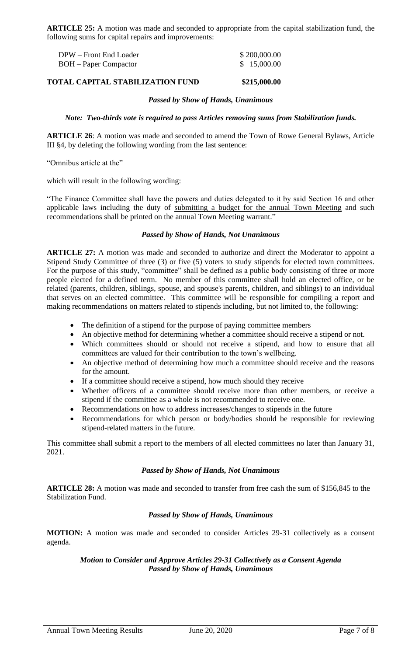**ARTICLE 25:** A motion was made and seconded to appropriate from the capital stabilization fund, the following sums for capital repairs and improvements:

| DPW – Front End Loader       | \$200,000.00 |
|------------------------------|--------------|
| <b>BOH</b> – Paper Compactor | \$15,000.00  |

### **TOTAL CAPITAL STABILIZATION FUND \$215,000.00**

### *Passed by Show of Hands, Unanimous*

### *Note: Two-thirds vote is required to pass Articles removing sums from Stabilization funds.*

**ARTICLE 26**: A motion was made and seconded to amend the Town of Rowe General Bylaws, Article III §4, by deleting the following wording from the last sentence:

"Omnibus article at the"

which will result in the following wording:

"The Finance Committee shall have the powers and duties delegated to it by said Section 16 and other applicable laws including the duty of submitting a budget for the annual Town Meeting and such recommendations shall be printed on the annual Town Meeting warrant."

## *Passed by Show of Hands, Not Unanimous*

**ARTICLE 27:** A motion was made and seconded to authorize and direct the Moderator to appoint a Stipend Study Committee of three (3) or five (5) voters to study stipends for elected town committees. For the purpose of this study, "committee" shall be defined as a public body consisting of three or more people elected for a defined term. No member of this committee shall hold an elected office, or be related (parents, children, siblings, spouse, and spouse's parents, children, and siblings) to an individual that serves on an elected committee. This committee will be responsible for compiling a report and making recommendations on matters related to stipends including, but not limited to, the following:

- The definition of a stipend for the purpose of paying committee members
- An objective method for determining whether a committee should receive a stipend or not.
- Which committees should or should not receive a stipend, and how to ensure that all committees are valued for their contribution to the town's wellbeing.
- An objective method of determining how much a committee should receive and the reasons for the amount.
- If a committee should receive a stipend, how much should they receive
- Whether officers of a committee should receive more than other members, or receive a stipend if the committee as a whole is not recommended to receive one.
- Recommendations on how to address increases/changes to stipends in the future
- Recommendations for which person or body/bodies should be responsible for reviewing stipend-related matters in the future.

This committee shall submit a report to the members of all elected committees no later than January 31, 2021.

## *Passed by Show of Hands, Not Unanimous*

**ARTICLE 28:** A motion was made and seconded to transfer from free cash the sum of \$156,845 to the Stabilization Fund.

## *Passed by Show of Hands, Unanimous*

**MOTION:** A motion was made and seconded to consider Articles 29-31 collectively as a consent agenda.

## *Motion to Consider and Approve Articles 29-31 Collectively as a Consent Agenda Passed by Show of Hands, Unanimous*